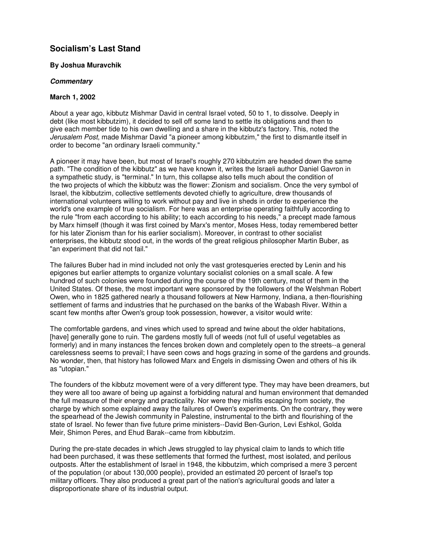## **Socialism's Last Stand**

## **By Joshua Muravchik**

## *Commentary*

## **March 1, 2002**

About a year ago, kibbutz Mishmar David in central Israel voted, 50 to 1, to dissolve. Deeply in debt (like most kibbutzim), it decided to sell off some land to settle its obligations and then to give each member tide to his own dwelling and a share in the kibbutz's factory. This, noted the *Jerusalem Post*, made Mishmar David "a pioneer among kibbutzim," the first to dismantle itself in order to become "an ordinary Israeli community."

A pioneer it may have been, but most of Israel's roughly 270 kibbutzim are headed down the same path. "The condition of the kibbutz" as we have known it, writes the Israeli author Daniel Gavron in a sympathetic study, is "terminal." In turn, this collapse also tells much about the condition of the two projects of which the kibbutz was the flower: Zionism and socialism. Once the very symbol of Israel, the kibbutzim, collective settlements devoted chiefly to agriculture, drew thousands of international volunteers willing to work without pay and live in sheds in order to experience the world's one example of true socialism. For here was an enterprise operating faithfully according to the rule "from each according to his ability; to each according to his needs," a precept made famous by Marx himself (though it was first coined by Marx's mentor, Moses Hess, today remembered better for his later Zionism than for his earlier socialism). Moreover, in contrast to other socialist enterprises, the kibbutz stood out, in the words of the great religious philosopher Martin Buber, as "an experiment that did not fail."

The failures Buber had in mind included not only the vast grotesqueries erected by Lenin and his epigones but earlier attempts to organize voluntary socialist colonies on a small scale. A few hundred of such colonies were founded during the course of the 19th century, most of them in the United States. Of these, the most important were sponsored by the followers of the Welshman Robert Owen, who in 1825 gathered nearly a thousand followers at New Harmony, Indiana, a then-flourishing settlement of farms and industries that he purchased on the banks of the Wabash River. Within a scant few months after Owen's group took possession, however, a visitor would write:

The comfortable gardens, and vines which used to spread and twine about the older habitations, [have] generally gone to ruin. The gardens mostly full of weeds (not full of useful vegetables as formerly) and in many instances the fences broken down and completely open to the streets--a general carelessness seems to prevail; I have seen cows and hogs grazing in some of the gardens and grounds. No wonder, then, that history has followed Marx and Engels in dismissing Owen and others of his ilk as "utopian."

The founders of the kibbutz movement were of a very different type. They may have been dreamers, but they were all too aware of being up against a forbidding natural and human environment that demanded the full measure of their energy and practicality. Nor were they misfits escaping from society, the charge by which some explained away the failures of Owen's experiments. On the contrary, they were the spearhead of the Jewish community in Palestine, instrumental to the birth and flourishing of the state of Israel. No fewer than five future prime ministers--David Ben-Gurion, Levi Eshkol, Golda Meir, Shimon Peres, and Ehud Barak--came from kibbutzim.

During the pre-state decades in which Jews struggled to lay physical claim to lands to which title had been purchased, it was these settlements that formed the furthest, most isolated, and perilous outposts. After the establishment of Israel in 1948, the kibbutzim, which comprised a mere 3 percent of the population (or about 130,000 people), provided an estimated 20 percent of Israel's top military officers. They also produced a great part of the nation's agricultural goods and later a disproportionate share of its industrial output.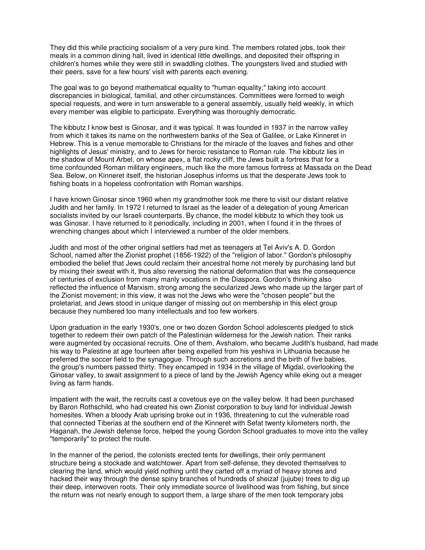They did this while practicing socialism of a very pure kind. The members rotated jobs, took their meals in a common dining hall, lived in identical little dwellings, and deposited their offspring in children's homes while they were still in swaddling clothes. The youngsters lived and studied with their peers, save for a few hours' visit with parents each evening.

The goal was to go beyond mathematical equality to "human equality," taking into account discrepancies in biological, familial, and other circumstances. Committees were formed to weigh special requests, and were in turn answerable to a general assembly, usually held weekly, in which every member was eligible to participate. Everything was thoroughly democratic.

The kibbutz I know best is Ginosar, and it was typical. It was founded in 1937 in the narrow valley from which it takes its name on the northwestern banks of the Sea of Galilee, or Lake Kinneret in Hebrew. This is a venue memorable to Christians for the miracle of the loaves and fishes and other highlights of Jesus' ministry, and to Jews for heroic resistance to Roman rule. The kibbutz lies in the shadow of Mount Arbel, on whose apex, a flat rocky cliff, the Jews built a fortress that for a time confounded Roman military engineers, much like the more famous fortress at Massada on the Dead Sea. Below, on Kinneret itself, the historian Josephus informs us that the desperate Jews took to fishing boats in a hopeless confrontation with Roman warships.

I have known Ginosar since 1960 when my grandmother took me there to visit our distant relative Judith and her family. In 1972 I returned to Israel as the leader of a delegation of young American socialists invited by our Israeli counterparts. By chance, the model kibbutz to which they took us was Ginosar. I have returned to it periodically, including in 2001, when I found it in the throes of wrenching changes about which I interviewed a number of the older members.

Judith and most of the other original settlers had met as teenagers at Tel Aviv's A. D. Gordon School, named after the Zionist prophet (1856-1922) of the "religion of labor." Gordon's philosophy embodied the belief that Jews could reclaim their ancestral home not merely by purchasing land but by mixing their sweat with it, thus also reversing the national deformation that was the consequence of centuries of exclusion from many manly vocations in the Diaspora. Gordon's thinking also reflected the influence of Marxism, strong among the secularized Jews who made up the larger part of the Zionist movement; in this view, it was not the Jews who were the "chosen people" but the proletariat, and Jews stood in unique danger of missing out on membership in this elect group because they numbered too many intellectuals and too few workers.

Upon graduation in the early 1930's, one or two dozen Gordon School adolescents pledged to stick together to redeem their own patch of the Palestinian wilderness for the Jewish nation. Their ranks were augmented by occasional recruits. One of them, Avshalom, who became Judith's husband, had made his way to Palestine at age fourteen after being expelled from his yeshiva in Lithuania because he preferred the soccer field to the synagogue. Through such accretions and the birth of five babies, the group's numbers passed thirty. They encamped in 1934 in the village of Migdal, overlooking the Ginosar valley, to await assignment to a piece of land by the Jewish Agency while eking out a meager living as farm hands.

Impatient with the wait, the recruits cast a covetous eye on the valley below. It had been purchased by Baron Rothschild, who had created his own Zionist corporation to buy land for individual Jewish homesites. When a bloody Arab uprising broke out in 1936, threatening to cut the vulnerable road that connected Tiberias at the southern end of the Kinneret with Sefat twenty kilometers north, the Haganah, the Jewish defense force, helped the young Gordon School graduates to move into the valley "temporarily" to protect the route.

In the manner of the period, the colonists erected tents for dwellings, their only permanent structure being a stockade and watchtower. Apart from self-defense, they devoted themselves to clearing the land, which would yield nothing until they carted off a myriad of heavy stones and hacked their way through the dense spiny branches of hundreds of sheizaf (jujube) trees to dig up their deep, interwoven roots. Their only immediate source of livelihood was from fishing, but since the return was not nearly enough to support them, a large share of the men took temporary jobs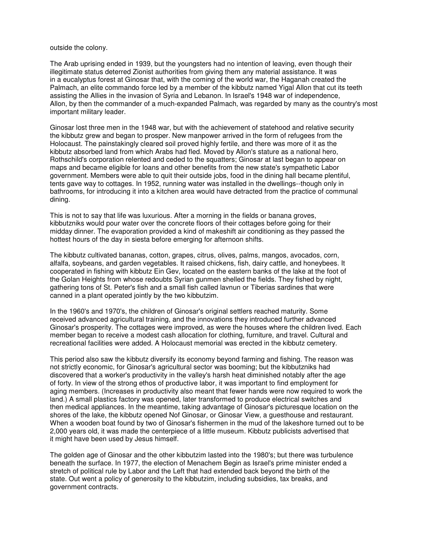outside the colony.

The Arab uprising ended in 1939, but the youngsters had no intention of leaving, even though their illegitimate status deterred Zionist authorities from giving them any material assistance. It was in a eucalyptus forest at Ginosar that, with the coming of the world war, the Haganah created the Palmach, an elite commando force led by a member of the kibbutz named Yigal Allon that cut its teeth assisting the Allies in the invasion of Syria and Lebanon. In Israel's 1948 war of independence, Allon, by then the commander of a much-expanded Palmach, was regarded by many as the country's most important military leader.

Ginosar lost three men in the 1948 war, but with the achievement of statehood and relative security the kibbutz grew and began to prosper. New manpower arrived in the form of refugees from the Holocaust. The painstakingly cleared soil proved highly fertile, and there was more of it as the kibbutz absorbed land from which Arabs had fled. Moved by Allon's stature as a national hero, Rothschild's corporation relented and ceded to the squatters; Ginosar at last began to appear on maps and became eligible for loans and other benefits from the new state's sympathetic Labor government. Members were able to quit their outside jobs, food in the dining hall became plentiful, tents gave way to cottages. In 1952, running water was installed in the dwellings--though only in bathrooms, for introducing it into a kitchen area would have detracted from the practice of communal dining.

This is not to say that life was luxurious. After a morning in the fields or banana groves, kibbutzniks would pour water over the concrete floors of their cottages before going for their midday dinner. The evaporation provided a kind of makeshift air conditioning as they passed the hottest hours of the day in siesta before emerging for afternoon shifts.

The kibbutz cultivated bananas, cotton, grapes, citrus, olives, palms, mangos, avocados, corn, alfalfa, soybeans, and garden vegetables. It raised chickens, fish, dairy cattle, and honeybees. It cooperated in fishing with kibbutz Ein Gev, located on the eastern banks of the lake at the foot of the Golan Heights from whose redoubts Syrian gunmen shelled the fields. They fished by night, gathering tons of St. Peter's fish and a small fish called lavnun or Tiberias sardines that were canned in a plant operated jointly by the two kibbutzim.

In the 1960's and 1970's, the children of Ginosar's original settlers reached maturity. Some received advanced agricultural training, and the innovations they introduced further advanced Ginosar's prosperity. The cottages were improved, as were the houses where the children lived. Each member began to receive a modest cash allocation for clothing, furniture, and travel. Cultural and recreational facilities were added. A Holocaust memorial was erected in the kibbutz cemetery.

This period also saw the kibbutz diversify its economy beyond farming and fishing. The reason was not strictly economic, for Ginosar's agricultural sector was booming; but the kibbutzniks had discovered that a worker's productivity in the valley's harsh heat diminished notably after the age of forty. In view of the strong ethos of productive labor, it was important to find employment for aging members. (Increases in productivity also meant that fewer hands were now required to work the land.) A small plastics factory was opened, later transformed to produce electrical switches and then medical appliances. In the meantime, taking advantage of Ginosar's picturesque location on the shores of the lake, the kibbutz opened Nof Ginosar, or Ginosar View, a guesthouse and restaurant. When a wooden boat found by two of Ginosar's fishermen in the mud of the lakeshore turned out to be 2,000 years old, it was made the centerpiece of a little museum. Kibbutz publicists advertised that it might have been used by Jesus himself.

The golden age of Ginosar and the other kibbutzim lasted into the 1980's; but there was turbulence beneath the surface. In 1977, the election of Menachem Begin as Israel's prime minister ended a stretch of political rule by Labor and the Left that had extended back beyond the birth of the state. Out went a policy of generosity to the kibbutzim, including subsidies, tax breaks, and government contracts.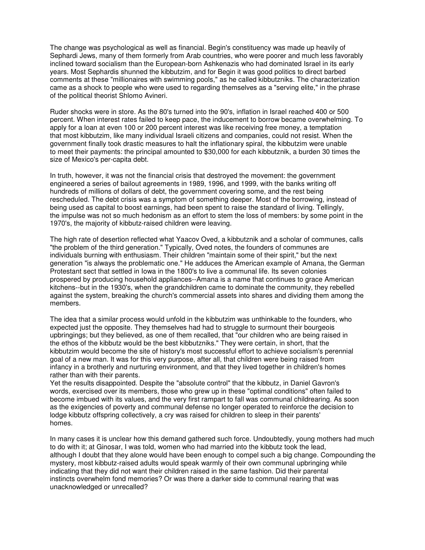The change was psychological as well as financial. Begin's constituency was made up heavily of Sephardi Jews, many of them formerly from Arab countries, who were poorer and much less favorably inclined toward socialism than the European-born Ashkenazis who had dominated Israel in its early years. Most Sephardis shunned the kibbutzim, and for Begin it was good politics to direct barbed comments at these "millionaires with swimming pools," as he called kibbutzniks. The characterization came as a shock to people who were used to regarding themselves as a "serving elite," in the phrase of the political theorist Shlomo Avineri.

Ruder shocks were in store. As the 80's turned into the 90's, inflation in Israel reached 400 or 500 percent. When interest rates failed to keep pace, the inducement to borrow became overwhelming. To apply for a loan at even 100 or 200 percent interest was like receiving free money, a temptation that most kibbutzim, like many individual Israeli citizens and companies, could not resist. When the government finally took drastic measures to halt the inflationary spiral, the kibbutzim were unable to meet their payments: the principal amounted to \$30,000 for each kibbutznik, a burden 30 times the size of Mexico's per-capita debt.

In truth, however, it was not the financial crisis that destroyed the movement: the government engineered a series of bailout agreements in 1989, 1996, and 1999, with the banks writing off hundreds of millions of dollars of debt, the government covering some, and the rest being rescheduled. The debt crisis was a symptom of something deeper. Most of the borrowing, instead of being used as capital to boost earnings, had been spent to raise the standard of living. Tellingly, the impulse was not so much hedonism as an effort to stem the loss of members: by some point in the 1970's, the majority of kibbutz-raised children were leaving.

The high rate of desertion reflected what Yaacov Oved, a kibbutznik and a scholar of communes, calls "the problem of the third generation." Typically, Oved notes, the founders of communes are individuals burning with enthusiasm. Their children "maintain some of their spirit," but the next generation "is always the problematic one." He adduces the American example of Amana, the German Protestant sect that settled in Iowa in the 1800's to live a communal life. Its seven colonies prospered by producing household appliances--Amana is a name that continues to grace American kitchens--but in the 1930's, when the grandchildren came to dominate the community, they rebelled against the system, breaking the church's commercial assets into shares and dividing them among the members.

The idea that a similar process would unfold in the kibbutzim was unthinkable to the founders, who expected just the opposite. They themselves had had to struggle to surmount their bourgeois upbringings; but they believed, as one of them recalled, that "our children who are being raised in the ethos of the kibbutz would be the best kibbutzniks." They were certain, in short, that the kibbutzim would become the site of history's most successful effort to achieve socialism's perennial goal of a new man. It was for this very purpose, after all, that children were being raised from infancy in a brotherly and nurturing environment, and that they lived together in children's homes rather than with their parents.

Yet the results disappointed. Despite the "absolute control" that the kibbutz, in Daniel Gavron's words, exercised over its members, those who grew up in these "optimal conditions" often failed to become imbued with its values, and the very first rampart to fall was communal childrearing. As soon as the exigencies of poverty and communal defense no longer operated to reinforce the decision to lodge kibbutz offspring collectively, a cry was raised for children to sleep in their parents' homes.

In many cases it is unclear how this demand gathered such force. Undoubtedly, young mothers had much to do with it; at Ginosar, I was told, women who had married into the kibbutz took the lead, although I doubt that they alone would have been enough to compel such a big change. Compounding the mystery, most kibbutz-raised adults would speak warmly of their own communal upbringing while indicating that they did not want their children raised in the same fashion. Did their parental instincts overwhelm fond memories? Or was there a darker side to communal rearing that was unacknowledged or unrecalled?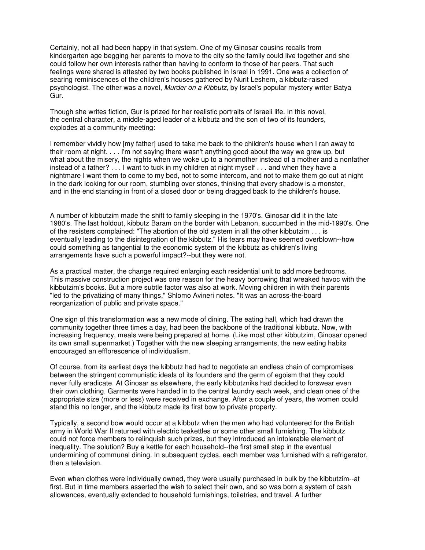Certainly, not all had been happy in that system. One of my Ginosar cousins recalls from kindergarten age begging her parents to move to the city so the family could live together and she could follow her own interests rather than having to conform to those of her peers. That such feelings were shared is attested by two books published in Israel in 1991. One was a collection of searing reminiscences of the children's houses gathered by Nurit Leshem, a kibbutz-raised psychologist. The other was a novel, *Murder on a Kibbutz*, by Israel's popular mystery writer Batya Gur.

Though she writes fiction, Gur is prized for her realistic portraits of Israeli life. In this novel, the central character, a middle-aged leader of a kibbutz and the son of two of its founders, explodes at a community meeting:

I remember vividly how [my father] used to take me back to the children's house when I ran away to their room at night. . . . I'm not saying there wasn't anything good about the way we grew up, but what about the misery, the nights when we woke up to a nonmother instead of a mother and a nonfather instead of a father? . . . I want to tuck in my children at night myself . . . and when they have a nightmare I want them to come to my bed, not to some intercom, and not to make them go out at night in the dark looking for our room, stumbling over stones, thinking that every shadow is a monster, and in the end standing in front of a closed door or being dragged back to the children's house.

A number of kibbutzim made the shift to family sleeping in the 1970's. Ginosar did it in the late 1980's. The last holdout, kibbutz Baram on the border with Lebanon, succumbed in the mid-1990's. One of the resisters complained: "The abortion of the old system in all the other kibbutzim . . . is eventually leading to the disintegration of the kibbutz." His fears may have seemed overblown--how could something as tangential to the economic system of the kibbutz as children's living arrangements have such a powerful impact?--but they were not.

As a practical matter, the change required enlarging each residential unit to add more bedrooms. This massive construction project was one reason for the heavy borrowing that wreaked havoc with the kibbutzim's books. But a more subtle factor was also at work. Moving children in with their parents "led to the privatizing of many things," Shlomo Avineri notes. "It was an across-the-board reorganization of public and private space."

One sign of this transformation was a new mode of dining. The eating hall, which had drawn the community together three times a day, had been the backbone of the traditional kibbutz. Now, with increasing frequency, meals were being prepared at home. (Like most other kibbutzim, Ginosar opened its own small supermarket.) Together with the new sleeping arrangements, the new eating habits encouraged an efflorescence of individualism.

Of course, from its earliest days the kibbutz had had to negotiate an endless chain of compromises between the stringent communistic ideals of its founders and the germ of egoism that they could never fully eradicate. At Ginosar as elsewhere, the early kibbutzniks had decided to forswear even their own clothing. Garments were handed in to the central laundry each week, and clean ones of the appropriate size (more or less) were received in exchange. After a couple of years, the women could stand this no longer, and the kibbutz made its first bow to private property.

Typically, a second bow would occur at a kibbutz when the men who had volunteered for the British army in World War II returned with electric teakettles or some other small furnishing. The kibbutz could not force members to relinquish such prizes, but they introduced an intolerable element of inequality. The solution? Buy a kettle for each household--the first small step in the eventual undermining of communal dining. In subsequent cycles, each member was furnished with a refrigerator, then a television.

Even when clothes were individually owned, they were usually purchased in bulk by the kibbutzim--at first. But in time members asserted the wish to select their own, and so was born a system of cash allowances, eventually extended to household furnishings, toiletries, and travel. A further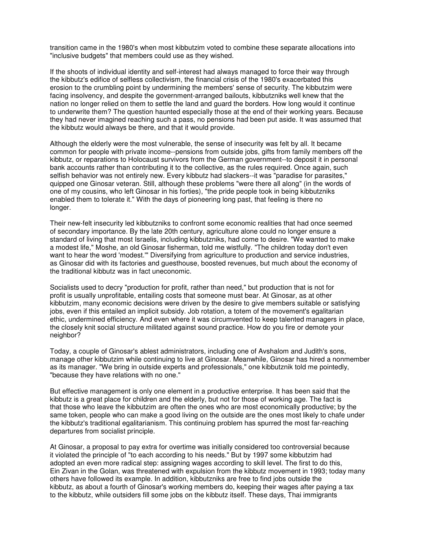transition came in the 1980's when most kibbutzim voted to combine these separate allocations into "inclusive budgets" that members could use as they wished.

If the shoots of individual identity and self-interest had always managed to force their way through the kibbutz's edifice of selfless collectivism, the financial crisis of the 1980's exacerbated this erosion to the crumbling point by undermining the members' sense of security. The kibbutzim were facing insolvency, and despite the government-arranged bailouts, kibbutzniks well knew that the nation no longer relied on them to settle the land and guard the borders. How long would it continue to underwrite them? The question haunted especially those at the end of their working years. Because they had never imagined reaching such a pass, no pensions had been put aside. It was assumed that the kibbutz would always be there, and that it would provide.

Although the elderly were the most vulnerable, the sense of insecurity was felt by all. It became common for people with private income--pensions from outside jobs, gifts from family members off the kibbutz, or reparations to Holocaust survivors from the German government--to deposit it in personal bank accounts rather than contributing it to the collective, as the rules required. Once again, such selfish behavior was not entirely new. Every kibbutz had slackers--it was "paradise for parasites," quipped one Ginosar veteran. Still, although these problems "were there all along" (in the words of one of my cousins, who left Ginosar in his forties), "the pride people took in being kibbutzniks enabled them to tolerate it." With the days of pioneering long past, that feeling is there no longer.

Their new-felt insecurity led kibbutzniks to confront some economic realities that had once seemed of secondary importance. By the late 20th century, agriculture alone could no longer ensure a standard of living that most Israelis, including kibbutzniks, had come to desire. "We wanted to make a modest life," Moshe, an old Ginosar fisherman, told me wistfully. "The children today don't even want to hear the word 'modest.'" Diversifying from agriculture to production and service industries, as Ginosar did with its factories and guesthouse, boosted revenues, but much about the economy of the traditional kibbutz was in fact uneconomic.

Socialists used to decry "production for profit, rather than need," but production that is not for profit is usually unprofitable, entailing costs that someone must bear. At Ginosar, as at other kibbutzim, many economic decisions were driven by the desire to give members suitable or satisfying jobs, even if this entailed an implicit subsidy. Job rotation, a totem of the movement's egalitarian ethic, undermined efficiency. And even where it was circumvented to keep talented managers in place, the closely knit social structure militated against sound practice. How do you fire or demote your neighbor?

Today, a couple of Ginosar's ablest administrators, including one of Avshalom and Judith's sons, manage other kibbutzim while continuing to live at Ginosar. Meanwhile, Ginosar has hired a nonmember as its manager. "We bring in outside experts and professionals," one kibbutznik told me pointedly, "because they have relations with no one."

But effective management is only one element in a productive enterprise. It has been said that the kibbutz is a great place for children and the elderly, but not for those of working age. The fact is that those who leave the kibbutzim are often the ones who are most economically productive; by the same token, people who can make a good living on the outside are the ones most likely to chafe under the kibbutz's traditional egalitarianism. This continuing problem has spurred the most far-reaching departures from socialist principle.

At Ginosar, a proposal to pay extra for overtime was initially considered too controversial because it violated the principle of "to each according to his needs." But by 1997 some kibbutzim had adopted an even more radical step: assigning wages according to skill level. The first to do this, Ein Zivan in the Golan, was threatened with expulsion from the kibbutz movement in 1993; today many others have followed its example. In addition, kibbutzniks are free to find jobs outside the kibbutz, as about a fourth of Ginosar's working members do, keeping their wages after paying a tax to the kibbutz, while outsiders fill some jobs on the kibbutz itself. These days, Thai immigrants